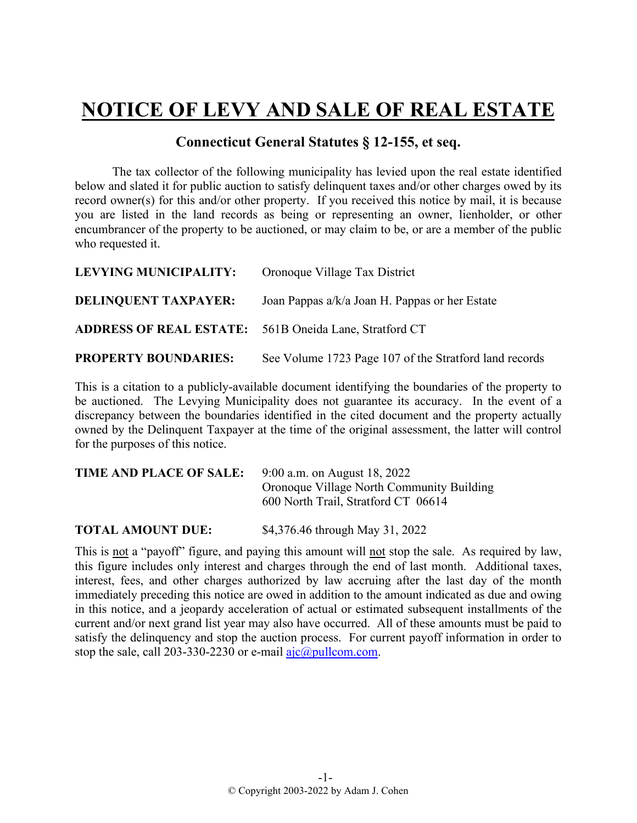## **NOTICE OF LEVY AND SALE OF REAL ESTATE**

## **Connecticut General Statutes § 12-155, et seq.**

The tax collector of the following municipality has levied upon the real estate identified below and slated it for public auction to satisfy delinquent taxes and/or other charges owed by its record owner(s) for this and/or other property. If you received this notice by mail, it is because you are listed in the land records as being or representing an owner, lienholder, or other encumbrancer of the property to be auctioned, or may claim to be, or are a member of the public who requested it.

| <b>LEVYING MUNICIPALITY:</b>                                  | Oronoque Village Tax District                          |
|---------------------------------------------------------------|--------------------------------------------------------|
| <b>DELINQUENT TAXPAYER:</b>                                   | Joan Pappas $a/k/a$ Joan H. Pappas or her Estate       |
| <b>ADDRESS OF REAL ESTATE:</b> 561B Oneida Lane, Stratford CT |                                                        |
| <b>PROPERTY BOUNDARIES:</b>                                   | See Volume 1723 Page 107 of the Stratford land records |

This is a citation to a publicly-available document identifying the boundaries of the property to be auctioned. The Levying Municipality does not guarantee its accuracy. In the event of a discrepancy between the boundaries identified in the cited document and the property actually owned by the Delinquent Taxpayer at the time of the original assessment, the latter will control for the purposes of this notice.

| TIME AND PLACE OF SALE:  | 9:00 a.m. on August 18, 2022<br>Oronoque Village North Community Building<br>600 North Trail, Stratford CT 06614 |
|--------------------------|------------------------------------------------------------------------------------------------------------------|
| <b>TOTAL AMOUNT DUE:</b> | \$4,376.46 through May 31, 2022                                                                                  |

This is not a "payoff" figure, and paying this amount will not stop the sale. As required by law, this figure includes only interest and charges through the end of last month. Additional taxes, interest, fees, and other charges authorized by law accruing after the last day of the month immediately preceding this notice are owed in addition to the amount indicated as due and owing in this notice, and a jeopardy acceleration of actual or estimated subsequent installments of the current and/or next grand list year may also have occurred. All of these amounts must be paid to satisfy the delinquency and stop the auction process. For current payoff information in order to stop the sale, call 203-330-2230 or e-mail  $a$ jc $@p$ ullcom.com.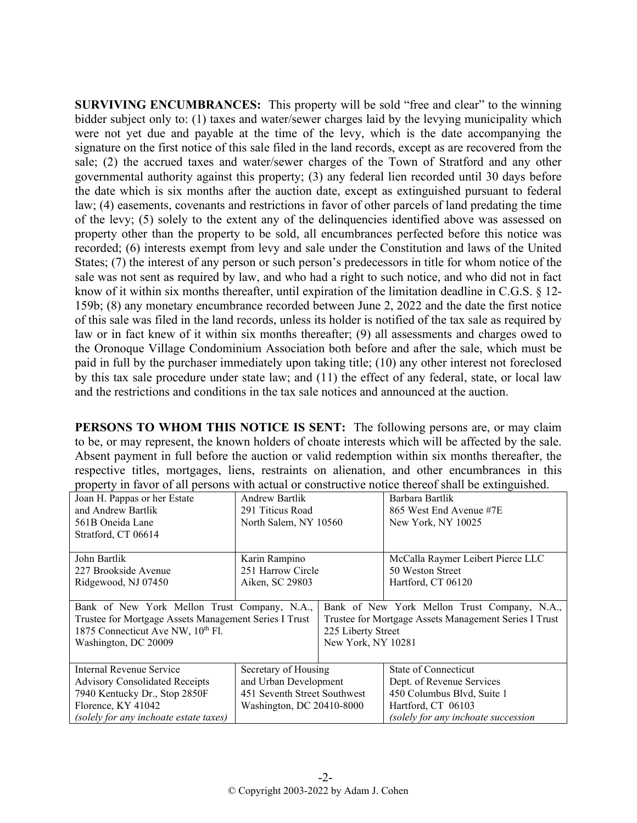**SURVIVING ENCUMBRANCES:** This property will be sold "free and clear" to the winning bidder subject only to: (1) taxes and water/sewer charges laid by the levying municipality which were not yet due and payable at the time of the levy, which is the date accompanying the signature on the first notice of this sale filed in the land records, except as are recovered from the sale; (2) the accrued taxes and water/sewer charges of the Town of Stratford and any other governmental authority against this property; (3) any federal lien recorded until 30 days before the date which is six months after the auction date, except as extinguished pursuant to federal law; (4) easements, covenants and restrictions in favor of other parcels of land predating the time of the levy; (5) solely to the extent any of the delinquencies identified above was assessed on property other than the property to be sold, all encumbrances perfected before this notice was recorded; (6) interests exempt from levy and sale under the Constitution and laws of the United States; (7) the interest of any person or such person's predecessors in title for whom notice of the sale was not sent as required by law, and who had a right to such notice, and who did not in fact know of it within six months thereafter, until expiration of the limitation deadline in C.G.S. § 12- 159b; (8) any monetary encumbrance recorded between June 2, 2022 and the date the first notice of this sale was filed in the land records, unless its holder is notified of the tax sale as required by law or in fact knew of it within six months thereafter; (9) all assessments and charges owed to the Oronoque Village Condominium Association both before and after the sale, which must be paid in full by the purchaser immediately upon taking title; (10) any other interest not foreclosed by this tax sale procedure under state law; and (11) the effect of any federal, state, or local law and the restrictions and conditions in the tax sale notices and announced at the auction.

**PERSONS TO WHOM THIS NOTICE IS SENT:** The following persons are, or may claim to be, or may represent, the known holders of choate interests which will be affected by the sale. Absent payment in full before the auction or valid redemption within six months thereafter, the respective titles, mortgages, liens, restraints on alienation, and other encumbrances in this property in favor of all persons with actual or constructive notice thereof shall be extinguished.

| Joan H. Pappas or her Estate                          | <b>Andrew Bartlik</b>                        |                                                       | Barbara Bartlik                     |
|-------------------------------------------------------|----------------------------------------------|-------------------------------------------------------|-------------------------------------|
| and Andrew Bartlik                                    | 291 Titicus Road                             |                                                       | 865 West End Avenue #7E             |
| 561B Oneida Lane                                      | North Salem, NY 10560                        |                                                       | New York, NY 10025                  |
| Stratford, CT 06614                                   |                                              |                                                       |                                     |
|                                                       |                                              |                                                       |                                     |
| John Bartlik                                          | Karin Rampino                                |                                                       | McCalla Raymer Leibert Pierce LLC   |
| 227 Brookside Avenue                                  | 251 Harrow Circle                            |                                                       | 50 Weston Street                    |
| Ridgewood, NJ 07450                                   | Aiken, SC 29803                              |                                                       | Hartford, CT 06120                  |
|                                                       |                                              |                                                       |                                     |
| Bank of New York Mellon Trust Company, N.A.,          | Bank of New York Mellon Trust Company, N.A., |                                                       |                                     |
| Trustee for Mortgage Assets Management Series I Trust |                                              | Trustee for Mortgage Assets Management Series I Trust |                                     |
| 1875 Connecticut Ave NW, 10th Fl.                     |                                              | 225 Liberty Street                                    |                                     |
| Washington, DC 20009                                  |                                              | New York, NY 10281                                    |                                     |
|                                                       |                                              |                                                       |                                     |
| Internal Revenue Service                              | Secretary of Housing                         |                                                       | State of Connecticut                |
| <b>Advisory Consolidated Receipts</b>                 | and Urban Development                        |                                                       | Dept. of Revenue Services           |
| 7940 Kentucky Dr., Stop 2850F                         | 451 Seventh Street Southwest                 |                                                       | 450 Columbus Blvd, Suite 1          |
| Florence, KY 41042                                    | Washington, DC 20410-8000                    |                                                       | Hartford, CT 06103                  |
| (solely for any inchoate estate taxes)                |                                              |                                                       | (solely for any inchoate succession |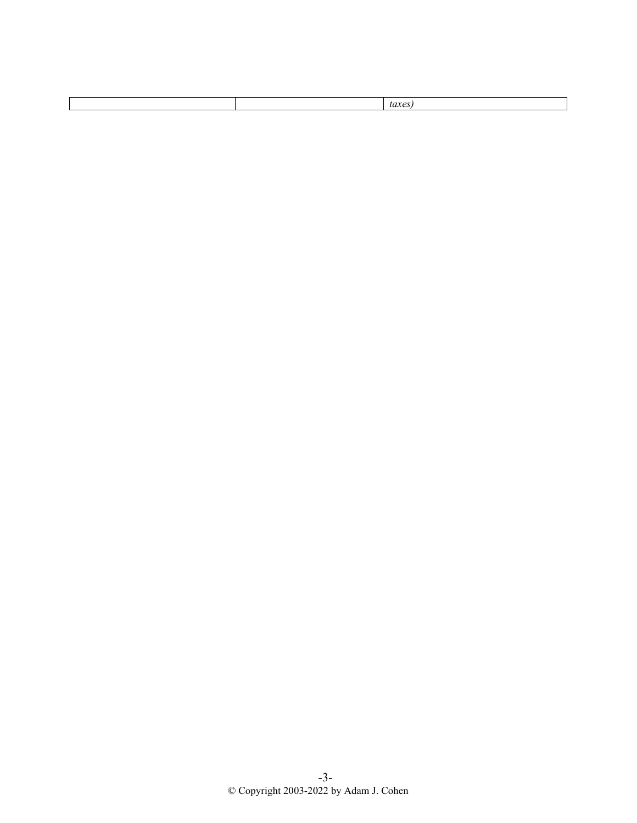|--|